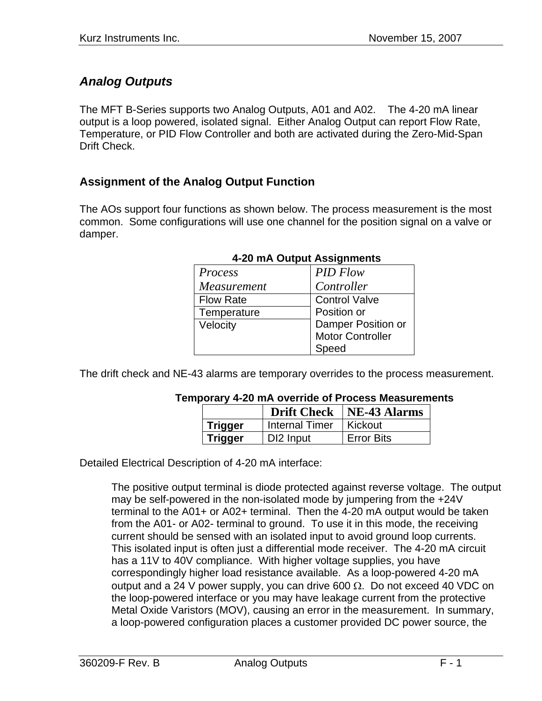# *Analog Outputs*

The MFT B-Series supports two Analog Outputs, A01 and A02. The 4-20 mA linear output is a loop powered, isolated signal. Either Analog Output can report Flow Rate, Temperature, or PID Flow Controller and both are activated during the Zero-Mid-Span Drift Check.

## **Assignment of the Analog Output Function**

The AOs support four functions as shown below. The process measurement is the most common. Some configurations will use one channel for the position signal on a valve or damper.

| Process            | <b>PID Flow</b>         |
|--------------------|-------------------------|
| <i>Measurement</i> | Controller              |
| <b>Flow Rate</b>   | <b>Control Valve</b>    |
| Temperature        | Position or             |
| Velocity           | Damper Position or      |
|                    | <b>Motor Controller</b> |
|                    | Speed                   |

### **4-20 mA Output Assignments**

The drift check and NE-43 alarms are temporary overrides to the process measurement.

#### **Temporary 4-20 mA override of Process Measurements**

|                |                | <b>Drift Check</b>   NE-43 Alarms |
|----------------|----------------|-----------------------------------|
| Trigger        | Internal Timer | ∣ Kickout                         |
| <b>Trigger</b> | DI2 Input      | <b>Error Bits</b>                 |

Detailed Electrical Description of 4-20 mA interface:

The positive output terminal is diode protected against reverse voltage. The output may be self-powered in the non-isolated mode by jumpering from the +24V terminal to the A01+ or A02+ terminal. Then the 4-20 mA output would be taken from the A01- or A02- terminal to ground. To use it in this mode, the receiving current should be sensed with an isolated input to avoid ground loop currents. This isolated input is often just a differential mode receiver. The 4-20 mA circuit has a 11V to 40V compliance. With higher voltage supplies, you have correspondingly higher load resistance available. As a loop-powered 4-20 mA output and a 24 V power supply, you can drive 600  $\Omega$ . Do not exceed 40 VDC on the loop-powered interface or you may have leakage current from the protective Metal Oxide Varistors (MOV), causing an error in the measurement. In summary, a loop-powered configuration places a customer provided DC power source, the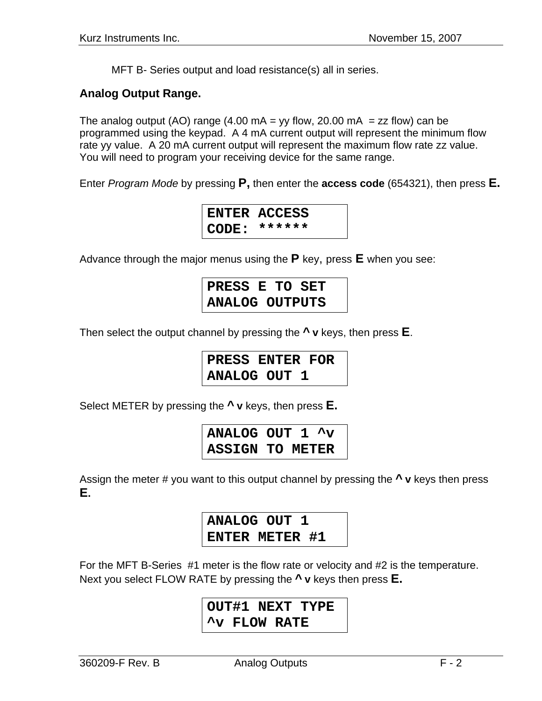MFT B- Series output and load resistance(s) all in series.

## **Analog Output Range.**

The analog output (AO) range (4.00 mA = yy flow, 20.00 mA = zz flow) can be programmed using the keypad. A 4 mA current output will represent the minimum flow rate yy value. A 20 mA current output will represent the maximum flow rate zz value. You will need to program your receiving device for the same range.

Enter *Program Mode* by pressing **P,** then enter the **access code** (654321), then press **E.** 



Advance through the major menus using the **P** key, press **E** when you see:

**PRESS E TO SET ANALOG OUTPUTS** 

Then select the output channel by pressing the **^ v** keys, then press **E**.

**PRESS ENTER FOR ANALOG OUT 1** 

Select METER by pressing the **^ v** keys, then press **E.** 

**ANALOG OUT 1 ^v ASSIGN TO METER** 

Assign the meter # you want to this output channel by pressing the **^ v** keys then press **E.**

> **ANALOG OUT 1 ENTER METER #1**

For the MFT B-Series #1 meter is the flow rate or velocity and #2 is the temperature. Next you select FLOW RATE by pressing the **^ v** keys then press **E.** 

> **OUT#1 NEXT TYPE ^v FLOW RATE**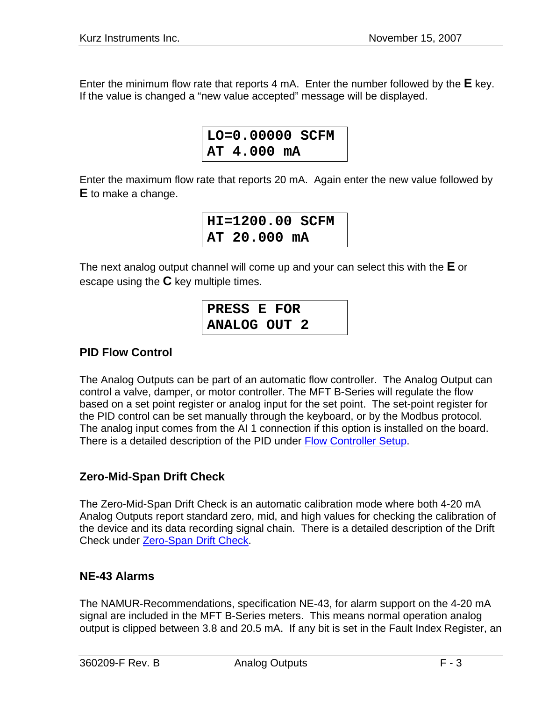Enter the minimum flow rate that reports 4 mA. Enter the number followed by the **E** key. If the value is changed a "new value accepted" message will be displayed.

```
LO=0.00000 SCFM 
AT 4.000 mA
```
Enter the maximum flow rate that reports 20 mA. Again enter the new value followed by **E** to make a change.

> **HI=1200.00 SCFM AT 20.000 mA**

The next analog output channel will come up and your can select this with the **E** or escape using the **C** key multiple times.

| PRESS E FOR         |  |
|---------------------|--|
| <b>ANALOG OUT 2</b> |  |

# **PID Flow Control**

The Analog Outputs can be part of an automatic flow controller. The Analog Output can control a valve, damper, or motor controller. The MFT B-Series will regulate the flow based on a set point register or analog input for the set point. The set-point register for the PID control can be set manually through the keyboard, or by the Modbus protocol. The analog input comes from the AI 1 connection if this option is installed on the board. There is a detailed description of the PID under Flow Controller Setup.

## **Zero-Mid-Span Drift Check**

The Zero-Mid-Span Drift Check is an automatic calibration mode where both 4-20 mA Analog Outputs report standard zero, mid, and high values for checking the calibration of the device and its data recording signal chain. There is a detailed description of the Drift Check under Zero-Span Drift Check.

## **NE-43 Alarms**

The NAMUR-Recommendations, specification NE-43, for alarm support on the 4-20 mA signal are included in the MFT B-Series meters. This means normal operation analog output is clipped between 3.8 and 20.5 mA. If any bit is set in the Fault Index Register, an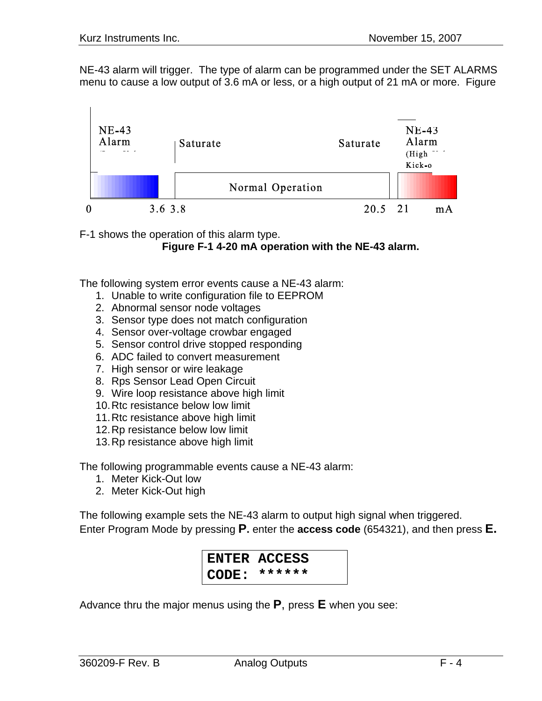NE-43 alarm will trigger. The type of alarm can be programmed under the SET ALARMS menu to cause a low output of 3.6 mA or less, or a high output of 21 mA or more. Figure



F-1 shows the operation of this alarm type.

**Figure F-1 4-20 mA operation with the NE-43 alarm.** 

The following system error events cause a NE-43 alarm:

- 1. Unable to write configuration file to EEPROM
- 2. Abnormal sensor node voltages
- 3. Sensor type does not match configuration
- 4. Sensor over-voltage crowbar engaged
- 5. Sensor control drive stopped responding
- 6. ADC failed to convert measurement
- 7. High sensor or wire leakage
- 8. Rps Sensor Lead Open Circuit
- 9. Wire loop resistance above high limit
- 10. Rtc resistance below low limit
- 11. Rtc resistance above high limit
- 12. Rp resistance below low limit
- 13. Rp resistance above high limit

The following programmable events cause a NE-43 alarm:

- 1. Meter Kick-Out low
- 2. Meter Kick-Out high

The following example sets the NE-43 alarm to output high signal when triggered. Enter Program Mode by pressing **P.** enter the **access code** (654321), and then press **E.** 

> **ENTER ACCESS CODE: \*\*\*\*\*\***

Advance thru the major menus using the **P**, press **E** when you see: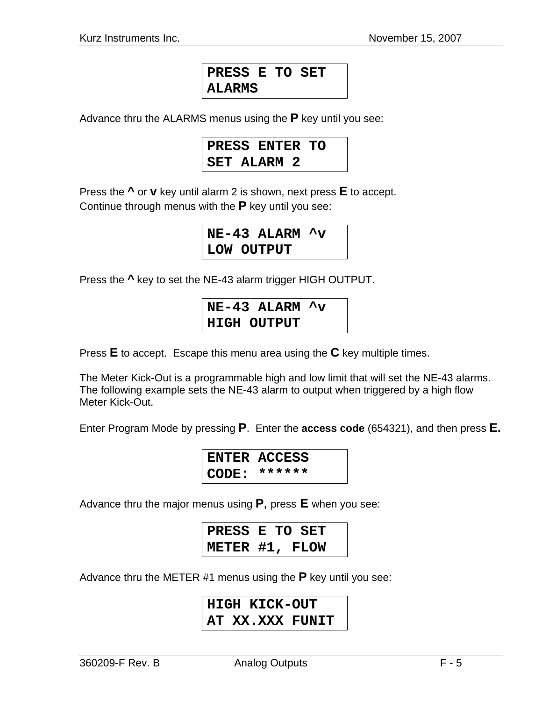# **PRESS E TO SET ALARMS**

Advance thru the ALARMS menus using the **P** key until you see:

| PRESS ENTER TO     |  |
|--------------------|--|
| <b>SET ALARM 2</b> |  |

Press the **^** or **v** key until alarm 2 is shown, next press **E** to accept. Continue through menus with the **P** key until you see:

> **NE-43 ALARM ^v LOW OUTPUT**

Press the **^** key to set the NE-43 alarm trigger HIGH OUTPUT.

**NE-43 ALARM ^v HIGH OUTPUT** 

Press **E** to accept. Escape this menu area using the **C** key multiple times.

The Meter Kick-Out is a programmable high and low limit that will set the NE-43 alarms. The following example sets the NE-43 alarm to output when triggered by a high flow Meter Kick-Out.

Enter Program Mode by pressing **P**. Enter the **access code** (654321), and then press **E.** 

**ENTER ACCESS CODE: \*\*\*\*\*\*** 

Advance thru the major menus using **P**, press **E** when you see:

| PRESS E TO SET |  |  |
|----------------|--|--|
| METER #1, FLOW |  |  |

Advance thru the METER #1 menus using the **P** key until you see:

# **HIGH KICK-OUT AT XX.XXX FUNIT**